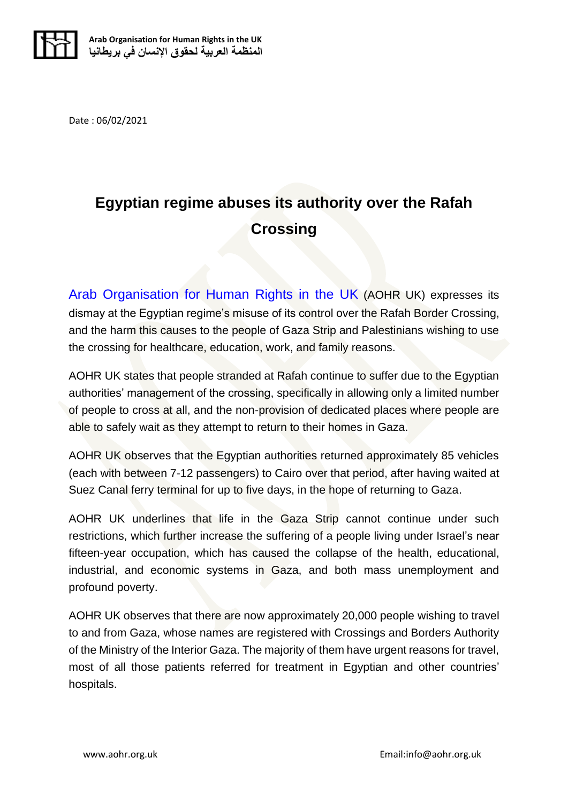

Date : 06/02/2021

## **Egyptian regime abuses its authority over the Rafah Crossing**

Arab Organisation [for Human Rights in the UK](https://aohr.org.uk/) (AOHR UK) expresses its dismay at the Egyptian regime's misuse of its control over the Rafah Border Crossing, and the harm this causes to the people of Gaza Strip and Palestinians wishing to use the crossing for healthcare, education, work, and family reasons.

AOHR UK states that people stranded at Rafah continue to suffer due to the Egyptian authorities' management of the crossing, specifically in allowing only a limited number of people to cross at all, and the non-provision of dedicated places where people are able to safely wait as they attempt to return to their homes in Gaza.

AOHR UK observes that the Egyptian authorities returned approximately 85 vehicles (each with between 7-12 passengers) to Cairo over that period, after having waited at Suez Canal ferry terminal for up to five days, in the hope of returning to Gaza.

AOHR UK underlines that life in the Gaza Strip cannot continue under such restrictions, which further increase the suffering of a people living under Israel's near fifteen-year occupation, which has caused the collapse of the health, educational, industrial, and economic systems in Gaza, and both mass unemployment and profound poverty.

AOHR UK observes that there are now approximately 20,000 people wishing to travel to and from Gaza, whose names are registered with Crossings and Borders Authority of the Ministry of the Interior Gaza. The majority of them have urgent reasons for travel, most of all those patients referred for treatment in Egyptian and other countries' hospitals.